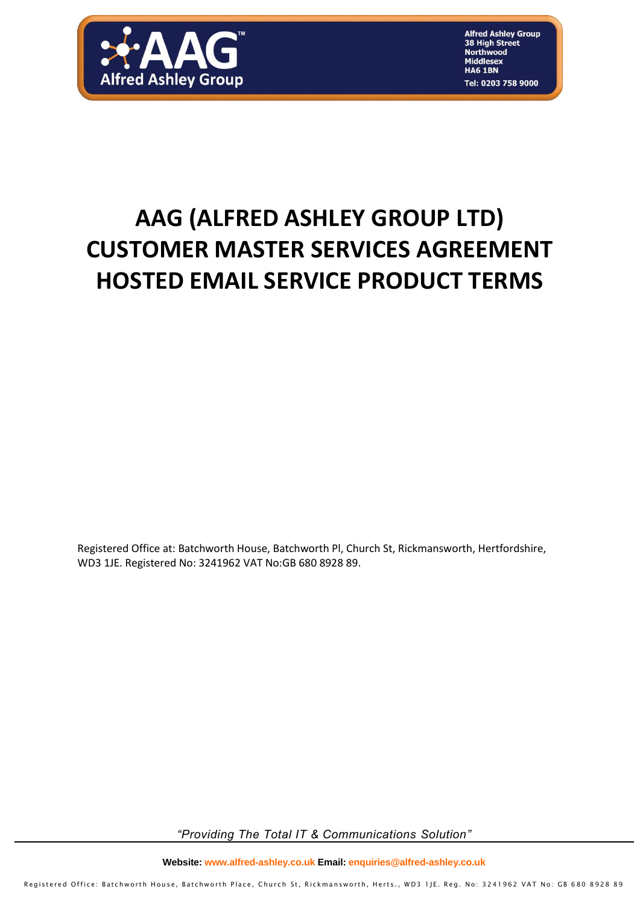

**Alfred Ashley Group** 38 High Street **Northwood Middlesex HA6 1BN** Tel: 0203 758 9000

# **AAG (ALFRED ASHLEY GROUP LTD) CUSTOMER MASTER SERVICES AGREEMENT HOSTED EMAIL SERVICE PRODUCT TERMS**

Registered Office at: Batchworth House, Batchworth Pl, Church St, Rickmansworth, Hertfordshire, WD3 1JE. Registered No: 3241962 VAT No:GB 680 8928 89.

*"Providing The Total IT & Communications Solution"*

**Website: www.alfred-ashley.co.uk Email: enquiries@alfred-ashley.co.uk**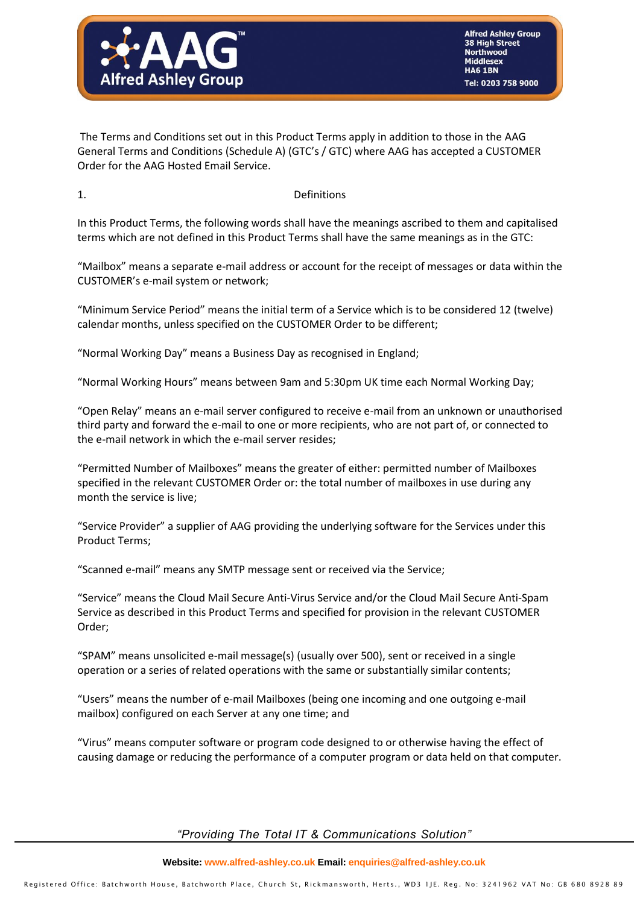

The Terms and Conditions set out in this Product Terms apply in addition to those in the AAG General Terms and Conditions (Schedule A) (GTC's / GTC) where AAG has accepted a CUSTOMER Order for the AAG Hosted Email Service.

### 1. Definitions

In this Product Terms, the following words shall have the meanings ascribed to them and capitalised terms which are not defined in this Product Terms shall have the same meanings as in the GTC:

"Mailbox" means a separate e-mail address or account for the receipt of messages or data within the CUSTOMER's e-mail system or network;

"Minimum Service Period" means the initial term of a Service which is to be considered 12 (twelve) calendar months, unless specified on the CUSTOMER Order to be different;

"Normal Working Day" means a Business Day as recognised in England;

"Normal Working Hours" means between 9am and 5:30pm UK time each Normal Working Day;

"Open Relay" means an e-mail server configured to receive e-mail from an unknown or unauthorised third party and forward the e-mail to one or more recipients, who are not part of, or connected to the e-mail network in which the e-mail server resides;

"Permitted Number of Mailboxes" means the greater of either: permitted number of Mailboxes specified in the relevant CUSTOMER Order or: the total number of mailboxes in use during any month the service is live;

"Service Provider" a supplier of AAG providing the underlying software for the Services under this Product Terms;

"Scanned e-mail" means any SMTP message sent or received via the Service;

"Service" means the Cloud Mail Secure Anti-Virus Service and/or the Cloud Mail Secure Anti-Spam Service as described in this Product Terms and specified for provision in the relevant CUSTOMER Order;

"SPAM" means unsolicited e-mail message(s) (usually over 500), sent or received in a single operation or a series of related operations with the same or substantially similar contents;

"Users" means the number of e-mail Mailboxes (being one incoming and one outgoing e-mail mailbox) configured on each Server at any one time; and

"Virus" means computer software or program code designed to or otherwise having the effect of causing damage or reducing the performance of a computer program or data held on that computer.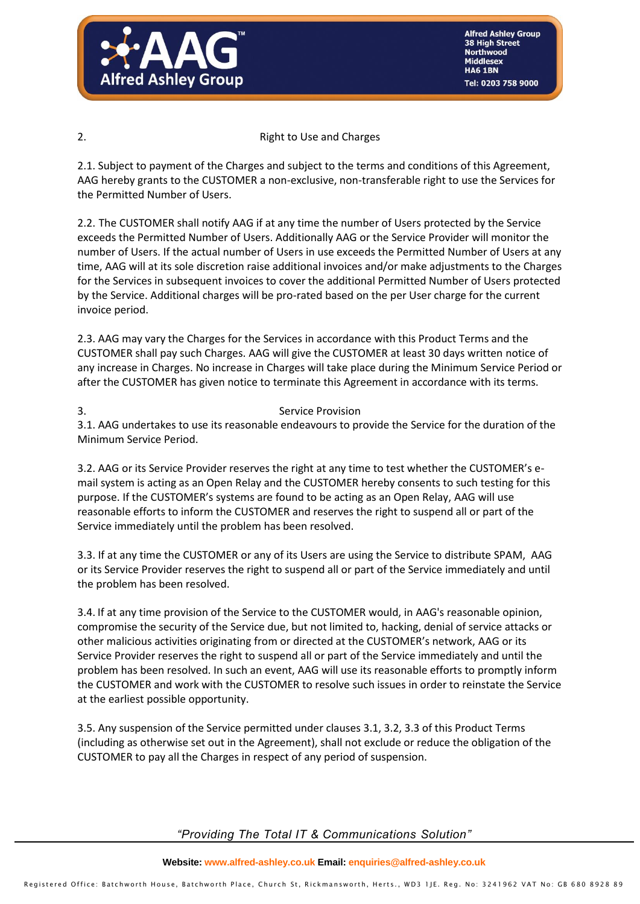

**Alfred Ashley Group** 38 High Street **Northwood Middlesex HA6 1BN** el: 0203 758 9000

### 2. Right to Use and Charges

2.1. Subject to payment of the Charges and subject to the terms and conditions of this Agreement, AAG hereby grants to the CUSTOMER a non-exclusive, non-transferable right to use the Services for the Permitted Number of Users.

2.2. The CUSTOMER shall notify AAG if at any time the number of Users protected by the Service exceeds the Permitted Number of Users. Additionally AAG or the Service Provider will monitor the number of Users. If the actual number of Users in use exceeds the Permitted Number of Users at any time, AAG will at its sole discretion raise additional invoices and/or make adjustments to the Charges for the Services in subsequent invoices to cover the additional Permitted Number of Users protected by the Service. Additional charges will be pro-rated based on the per User charge for the current invoice period.

2.3. AAG may vary the Charges for the Services in accordance with this Product Terms and the CUSTOMER shall pay such Charges. AAG will give the CUSTOMER at least 30 days written notice of any increase in Charges. No increase in Charges will take place during the Minimum Service Period or after the CUSTOMER has given notice to terminate this Agreement in accordance with its terms.

### 3. Service Provision

3.1. AAG undertakes to use its reasonable endeavours to provide the Service for the duration of the Minimum Service Period.

3.2. AAG or its Service Provider reserves the right at any time to test whether the CUSTOMER's email system is acting as an Open Relay and the CUSTOMER hereby consents to such testing for this purpose. If the CUSTOMER's systems are found to be acting as an Open Relay, AAG will use reasonable efforts to inform the CUSTOMER and reserves the right to suspend all or part of the Service immediately until the problem has been resolved.

3.3. If at any time the CUSTOMER or any of its Users are using the Service to distribute SPAM, AAG or its Service Provider reserves the right to suspend all or part of the Service immediately and until the problem has been resolved.

3.4. If at any time provision of the Service to the CUSTOMER would, in AAG's reasonable opinion, compromise the security of the Service due, but not limited to, hacking, denial of service attacks or other malicious activities originating from or directed at the CUSTOMER's network, AAG or its Service Provider reserves the right to suspend all or part of the Service immediately and until the problem has been resolved. In such an event, AAG will use its reasonable efforts to promptly inform the CUSTOMER and work with the CUSTOMER to resolve such issues in order to reinstate the Service at the earliest possible opportunity.

3.5. Any suspension of the Service permitted under clauses 3.1, 3.2, 3.3 of this Product Terms (including as otherwise set out in the Agreement), shall not exclude or reduce the obligation of the CUSTOMER to pay all the Charges in respect of any period of suspension.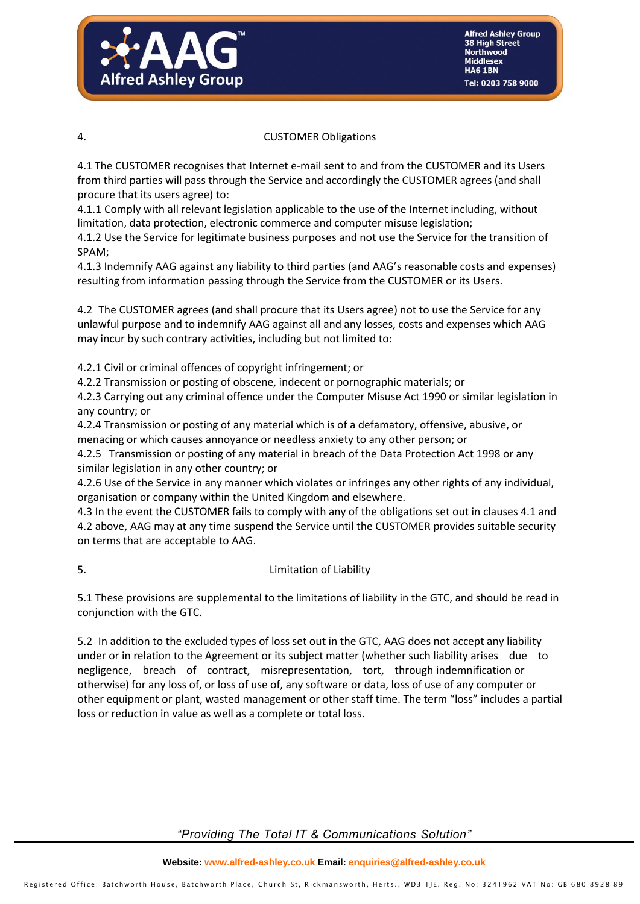

### 4. CUSTOMER Obligations

4.1 The CUSTOMER recognises that Internet e-mail sent to and from the CUSTOMER and its Users from third parties will pass through the Service and accordingly the CUSTOMER agrees (and shall procure that its users agree) to:

4.1.1 Comply with all relevant legislation applicable to the use of the Internet including, without limitation, data protection, electronic commerce and computer misuse legislation;

4.1.2 Use the Service for legitimate business purposes and not use the Service for the transition of SPAM;

4.1.3 Indemnify AAG against any liability to third parties (and AAG's reasonable costs and expenses) resulting from information passing through the Service from the CUSTOMER or its Users.

4.2 The CUSTOMER agrees (and shall procure that its Users agree) not to use the Service for any unlawful purpose and to indemnify AAG against all and any losses, costs and expenses which AAG may incur by such contrary activities, including but not limited to:

4.2.1 Civil or criminal offences of copyright infringement; or

4.2.2 Transmission or posting of obscene, indecent or pornographic materials; or

4.2.3 Carrying out any criminal offence under the Computer Misuse Act 1990 or similar legislation in any country; or

4.2.4 Transmission or posting of any material which is of a defamatory, offensive, abusive, or menacing or which causes annoyance or needless anxiety to any other person; or

4.2.5 Transmission or posting of any material in breach of the Data Protection Act 1998 or any similar legislation in any other country; or

4.2.6 Use of the Service in any manner which violates or infringes any other rights of any individual, organisation or company within the United Kingdom and elsewhere.

4.3 In the event the CUSTOMER fails to comply with any of the obligations set out in clauses 4.1 and 4.2 above, AAG may at any time suspend the Service until the CUSTOMER provides suitable security on terms that are acceptable to AAG.

# 5. Limitation of Liability

5.1 These provisions are supplemental to the limitations of liability in the GTC, and should be read in conjunction with the GTC.

5.2 In addition to the excluded types of loss set out in the GTC, AAG does not accept any liability under or in relation to the Agreement or its subject matter (whether such liability arises due to negligence, breach of contract, misrepresentation, tort, through indemnification or otherwise) for any loss of, or loss of use of, any software or data, loss of use of any computer or other equipment or plant, wasted management or other staff time. The term "loss" includes a partial loss or reduction in value as well as a complete or total loss.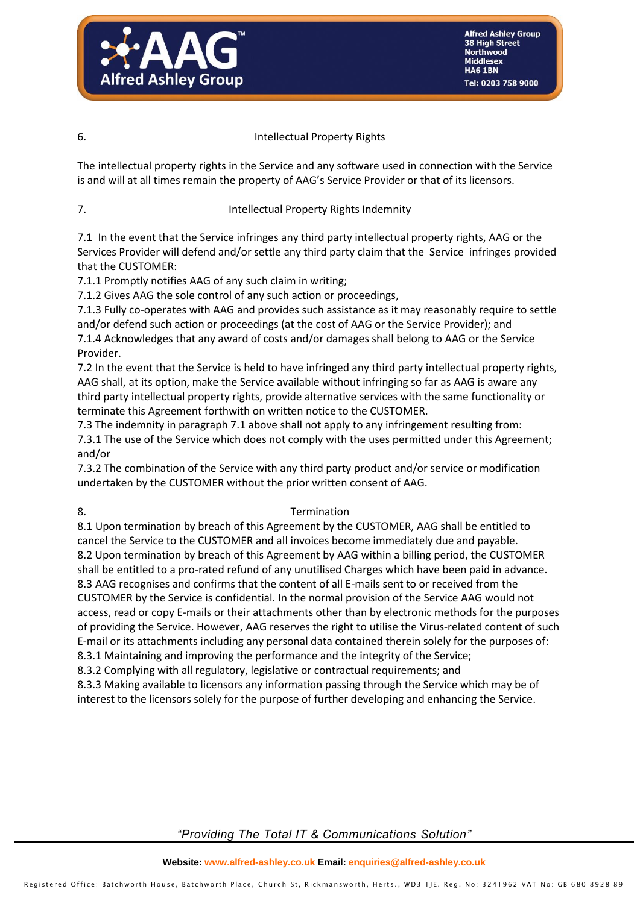

# 6. Intellectual Property Rights

The intellectual property rights in the Service and any software used in connection with the Service is and will at all times remain the property of AAG's Service Provider or that of its licensors.

# 7. Intellectual Property Rights Indemnity

7.1 In the event that the Service infringes any third party intellectual property rights, AAG or the Services Provider will defend and/or settle any third party claim that the Service infringes provided that the CUSTOMER:

7.1.1 Promptly notifies AAG of any such claim in writing;

7.1.2 Gives AAG the sole control of any such action or proceedings,

7.1.3 Fully co-operates with AAG and provides such assistance as it may reasonably require to settle and/or defend such action or proceedings (at the cost of AAG or the Service Provider); and 7.1.4 Acknowledges that any award of costs and/or damages shall belong to AAG or the Service Provider.

7.2 In the event that the Service is held to have infringed any third party intellectual property rights, AAG shall, at its option, make the Service available without infringing so far as AAG is aware any third party intellectual property rights, provide alternative services with the same functionality or terminate this Agreement forthwith on written notice to the CUSTOMER.

7.3 The indemnity in paragraph 7.1 above shall not apply to any infringement resulting from: 7.3.1 The use of the Service which does not comply with the uses permitted under this Agreement; and/or

7.3.2 The combination of the Service with any third party product and/or service or modification undertaken by the CUSTOMER without the prior written consent of AAG.

# 8. Termination

8.1 Upon termination by breach of this Agreement by the CUSTOMER, AAG shall be entitled to cancel the Service to the CUSTOMER and all invoices become immediately due and payable. 8.2 Upon termination by breach of this Agreement by AAG within a billing period, the CUSTOMER shall be entitled to a pro-rated refund of any unutilised Charges which have been paid in advance. 8.3 AAG recognises and confirms that the content of all E-mails sent to or received from the CUSTOMER by the Service is confidential. In the normal provision of the Service AAG would not access, read or copy E-mails or their attachments other than by electronic methods for the purposes of providing the Service. However, AAG reserves the right to utilise the Virus-related content of such E-mail or its attachments including any personal data contained therein solely for the purposes of: 8.3.1 Maintaining and improving the performance and the integrity of the Service;

8.3.2 Complying with all regulatory, legislative or contractual requirements; and

8.3.3 Making available to licensors any information passing through the Service which may be of interest to the licensors solely for the purpose of further developing and enhancing the Service.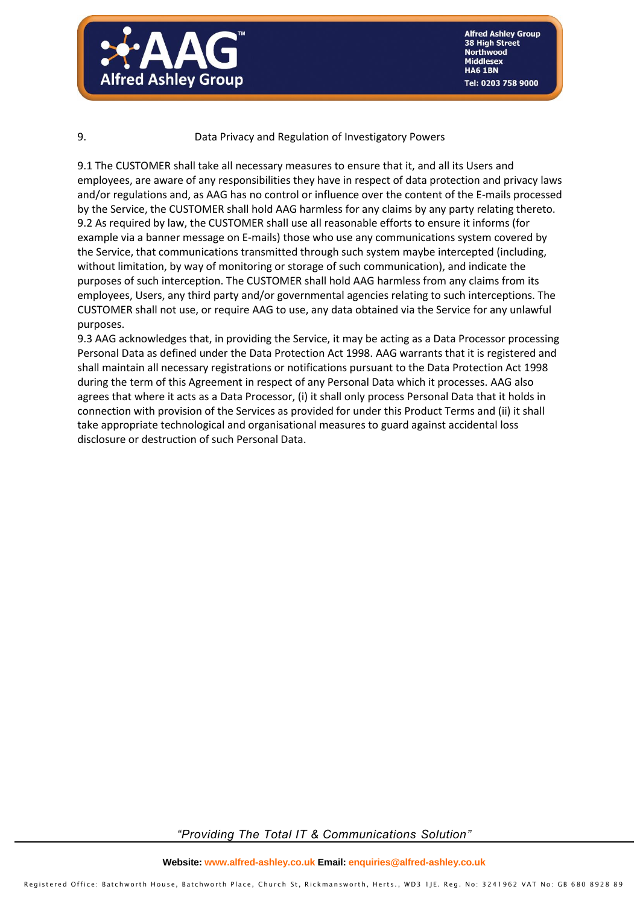

### 9. Data Privacy and Regulation of Investigatory Powers

9.1 The CUSTOMER shall take all necessary measures to ensure that it, and all its Users and employees, are aware of any responsibilities they have in respect of data protection and privacy laws and/or regulations and, as AAG has no control or influence over the content of the E-mails processed by the Service, the CUSTOMER shall hold AAG harmless for any claims by any party relating thereto. 9.2 As required by law, the CUSTOMER shall use all reasonable efforts to ensure it informs (for example via a banner message on E-mails) those who use any communications system covered by the Service, that communications transmitted through such system maybe intercepted (including, without limitation, by way of monitoring or storage of such communication), and indicate the purposes of such interception. The CUSTOMER shall hold AAG harmless from any claims from its employees, Users, any third party and/or governmental agencies relating to such interceptions. The CUSTOMER shall not use, or require AAG to use, any data obtained via the Service for any unlawful purposes.

9.3 AAG acknowledges that, in providing the Service, it may be acting as a Data Processor processing Personal Data as defined under the Data Protection Act 1998. AAG warrants that it is registered and shall maintain all necessary registrations or notifications pursuant to the Data Protection Act 1998 during the term of this Agreement in respect of any Personal Data which it processes. AAG also agrees that where it acts as a Data Processor, (i) it shall only process Personal Data that it holds in connection with provision of the Services as provided for under this Product Terms and (ii) it shall take appropriate technological and organisational measures to guard against accidental loss disclosure or destruction of such Personal Data.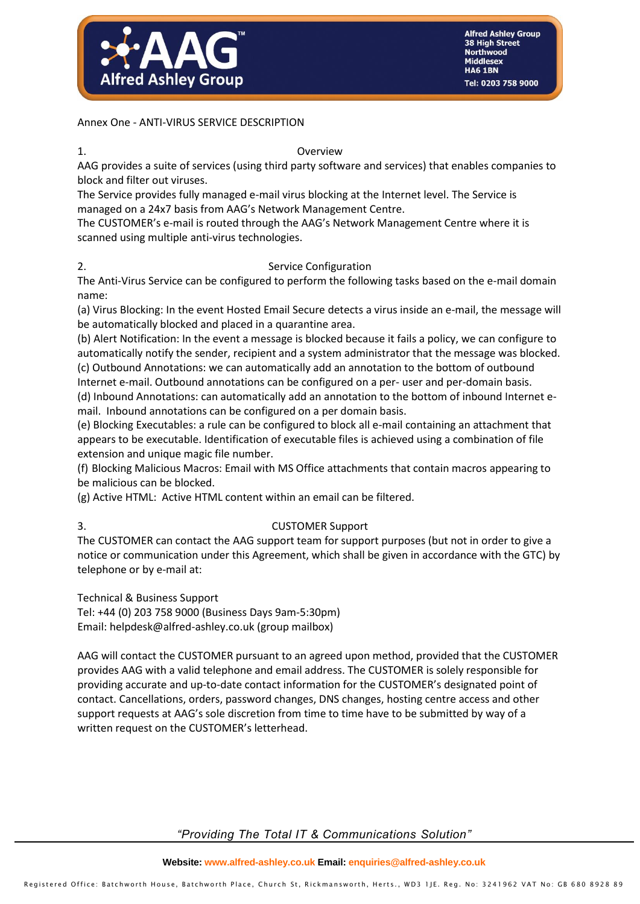

Annex One - ANTI-VIRUS SERVICE DESCRIPTION

### 1. Overview

AAG provides a suite of services (using third party software and services) that enables companies to block and filter out viruses.

The Service provides fully managed e-mail virus blocking at the Internet level. The Service is managed on a 24x7 basis from AAG's Network Management Centre.

The CUSTOMER's e-mail is routed through the AAG's Network Management Centre where it is scanned using multiple anti-virus technologies.

# 2. Service Configuration

The Anti-Virus Service can be configured to perform the following tasks based on the e-mail domain name:

(a) Virus Blocking: In the event Hosted Email Secure detects a virus inside an e-mail, the message will be automatically blocked and placed in a quarantine area.

(b) Alert Notification: In the event a message is blocked because it fails a policy, we can configure to automatically notify the sender, recipient and a system administrator that the message was blocked.

(c) Outbound Annotations: we can automatically add an annotation to the bottom of outbound Internet e-mail. Outbound annotations can be configured on a per- user and per-domain basis.

(d) Inbound Annotations: can automatically add an annotation to the bottom of inbound Internet email. Inbound annotations can be configured on a per domain basis.

(e) Blocking Executables: a rule can be configured to block all e-mail containing an attachment that appears to be executable. Identification of executable files is achieved using a combination of file extension and unique magic file number.

(f) Blocking Malicious Macros: Email with MS Office attachments that contain macros appearing to be malicious can be blocked.

(g) Active HTML: Active HTML content within an email can be filtered.

# 3. CUSTOMER Support

The CUSTOMER can contact the AAG support team for support purposes (but not in order to give a notice or communication under this Agreement, which shall be given in accordance with the GTC) by telephone or by e-mail at:

Technical & Business Support

Tel: +44 (0) 203 758 9000 (Business Days 9am-5:30pm) Email: helpdesk@alfred-ashley.co.uk (group mailbox)

AAG will contact the CUSTOMER pursuant to an agreed upon method, provided that the CUSTOMER provides AAG with a valid telephone and email address. The CUSTOMER is solely responsible for providing accurate and up-to-date contact information for the CUSTOMER's designated point of contact. Cancellations, orders, password changes, DNS changes, hosting centre access and other support requests at AAG's sole discretion from time to time have to be submitted by way of a written request on the CUSTOMER's letterhead.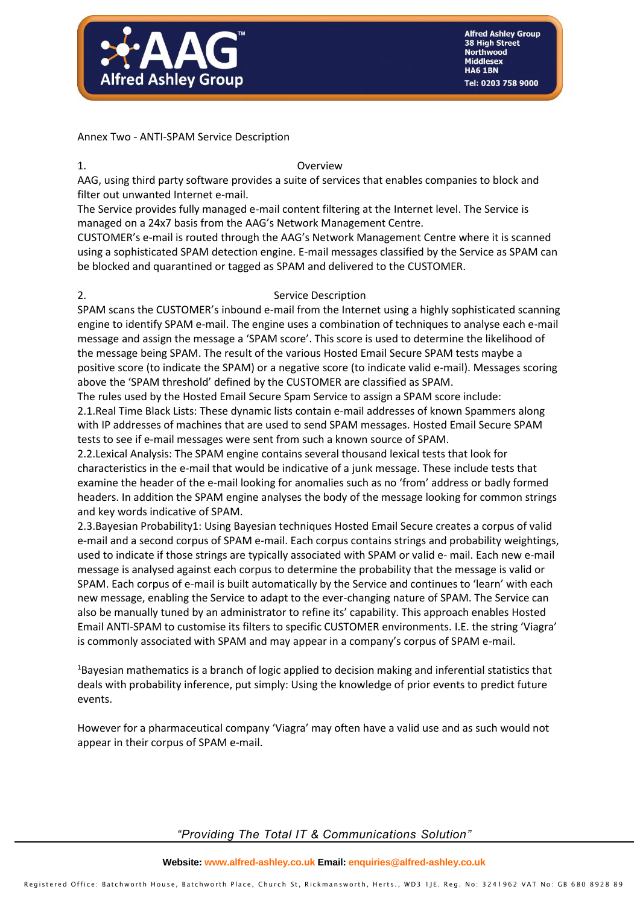

**Alfred Ashley Group** 38 High Street **Northwood Middlesex HA6 1BN** Tel: 0203 758 9000

Annex Two - ANTI-SPAM Service Description

### 1. Overview

AAG, using third party software provides a suite of services that enables companies to block and filter out unwanted Internet e-mail.

The Service provides fully managed e-mail content filtering at the Internet level. The Service is managed on a 24x7 basis from the AAG's Network Management Centre.

CUSTOMER's e-mail is routed through the AAG's Network Management Centre where it is scanned using a sophisticated SPAM detection engine. E-mail messages classified by the Service as SPAM can be blocked and quarantined or tagged as SPAM and delivered to the CUSTOMER.

### 2. Service Description

SPAM scans the CUSTOMER's inbound e-mail from the Internet using a highly sophisticated scanning engine to identify SPAM e-mail. The engine uses a combination of techniques to analyse each e-mail message and assign the message a 'SPAM score'. This score is used to determine the likelihood of the message being SPAM. The result of the various Hosted Email Secure SPAM tests maybe a positive score (to indicate the SPAM) or a negative score (to indicate valid e-mail). Messages scoring above the 'SPAM threshold' defined by the CUSTOMER are classified as SPAM.

The rules used by the Hosted Email Secure Spam Service to assign a SPAM score include: 2.1.Real Time Black Lists: These dynamic lists contain e-mail addresses of known Spammers along with IP addresses of machines that are used to send SPAM messages. Hosted Email Secure SPAM tests to see if e-mail messages were sent from such a known source of SPAM.

2.2.Lexical Analysis: The SPAM engine contains several thousand lexical tests that look for characteristics in the e-mail that would be indicative of a junk message. These include tests that examine the header of the e-mail looking for anomalies such as no 'from' address or badly formed headers. In addition the SPAM engine analyses the body of the message looking for common strings and key words indicative of SPAM.

2.3.Bayesian Probability1: Using Bayesian techniques Hosted Email Secure creates a corpus of valid e-mail and a second corpus of SPAM e-mail. Each corpus contains strings and probability weightings, used to indicate if those strings are typically associated with SPAM or valid e- mail. Each new e-mail message is analysed against each corpus to determine the probability that the message is valid or SPAM. Each corpus of e-mail is built automatically by the Service and continues to 'learn' with each new message, enabling the Service to adapt to the ever-changing nature of SPAM. The Service can also be manually tuned by an administrator to refine its' capability. This approach enables Hosted Email ANTI-SPAM to customise its filters to specific CUSTOMER environments. I.E. the string 'Viagra' is commonly associated with SPAM and may appear in a company's corpus of SPAM e-mail.

<sup>1</sup>Bayesian mathematics is a branch of logic applied to decision making and inferential statistics that deals with probability inference, put simply: Using the knowledge of prior events to predict future events.

However for a pharmaceutical company 'Viagra' may often have a valid use and as such would not appear in their corpus of SPAM e-mail.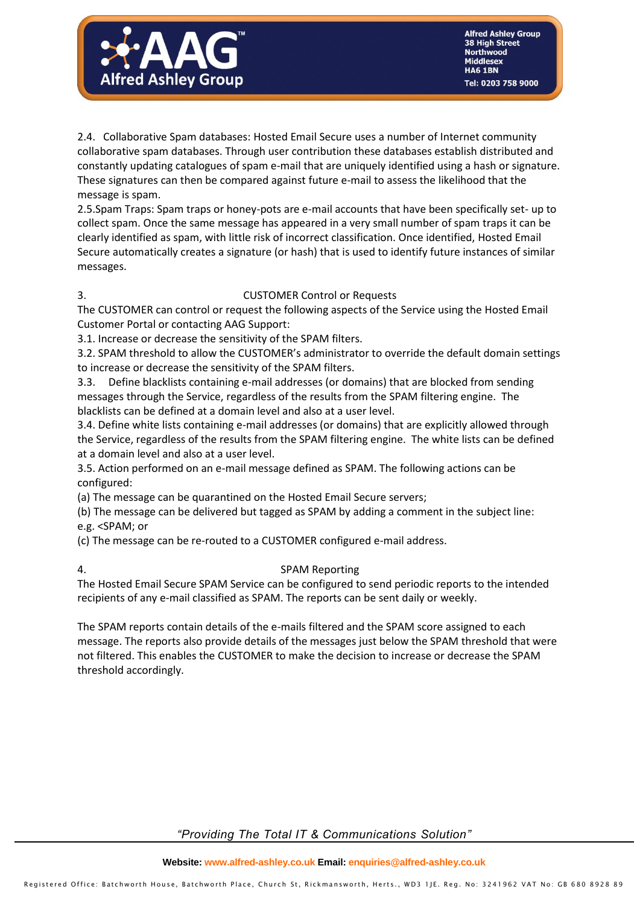

2.4. Collaborative Spam databases: Hosted Email Secure uses a number of Internet community collaborative spam databases. Through user contribution these databases establish distributed and constantly updating catalogues of spam e-mail that are uniquely identified using a hash or signature. These signatures can then be compared against future e-mail to assess the likelihood that the message is spam.

2.5.Spam Traps: Spam traps or honey-pots are e-mail accounts that have been specifically set- up to collect spam. Once the same message has appeared in a very small number of spam traps it can be clearly identified as spam, with little risk of incorrect classification. Once identified, Hosted Email Secure automatically creates a signature (or hash) that is used to identify future instances of similar messages.

### 3. CUSTOMER Control or Requests

The CUSTOMER can control or request the following aspects of the Service using the Hosted Email Customer Portal or contacting AAG Support:

3.1. Increase or decrease the sensitivity of the SPAM filters.

3.2. SPAM threshold to allow the CUSTOMER's administrator to override the default domain settings to increase or decrease the sensitivity of the SPAM filters.

3.3. Define blacklists containing e-mail addresses (or domains) that are blocked from sending messages through the Service, regardless of the results from the SPAM filtering engine. The blacklists can be defined at a domain level and also at a user level.

3.4. Define white lists containing e-mail addresses (or domains) that are explicitly allowed through the Service, regardless of the results from the SPAM filtering engine. The white lists can be defined at a domain level and also at a user level.

3.5. Action performed on an e-mail message defined as SPAM. The following actions can be configured:

(a) The message can be quarantined on the Hosted Email Secure servers;

(b) The message can be delivered but tagged as SPAM by adding a comment in the subject line: e.g. <SPAM; or

(c) The message can be re-routed to a CUSTOMER configured e-mail address.

# 4. SPAM Reporting

The Hosted Email Secure SPAM Service can be configured to send periodic reports to the intended recipients of any e-mail classified as SPAM. The reports can be sent daily or weekly.

The SPAM reports contain details of the e-mails filtered and the SPAM score assigned to each message. The reports also provide details of the messages just below the SPAM threshold that were not filtered. This enables the CUSTOMER to make the decision to increase or decrease the SPAM threshold accordingly.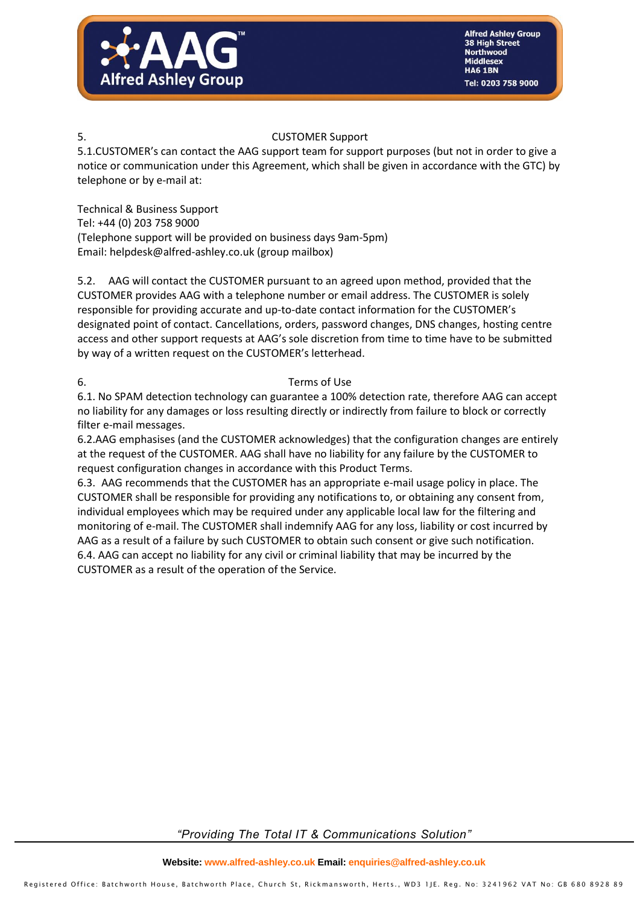

# 5. CUSTOMER Support

5.1.CUSTOMER's can contact the AAG support team for support purposes (but not in order to give a notice or communication under this Agreement, which shall be given in accordance with the GTC) by telephone or by e-mail at:

Technical & Business Support Tel: +44 (0) 203 758 9000 (Telephone support will be provided on business days 9am-5pm) Email: helpdesk@alfred-ashley.co.uk (group mailbox)

5.2. AAG will contact the CUSTOMER pursuant to an agreed upon method, provided that the CUSTOMER provides AAG with a telephone number or email address. The CUSTOMER is solely responsible for providing accurate and up-to-date contact information for the CUSTOMER's designated point of contact. Cancellations, orders, password changes, DNS changes, hosting centre access and other support requests at AAG's sole discretion from time to time have to be submitted by way of a written request on the CUSTOMER's letterhead.

### 6. Terms of Use

6.1. No SPAM detection technology can guarantee a 100% detection rate, therefore AAG can accept no liability for any damages or loss resulting directly or indirectly from failure to block or correctly filter e-mail messages.

6.2.AAG emphasises (and the CUSTOMER acknowledges) that the configuration changes are entirely at the request of the CUSTOMER. AAG shall have no liability for any failure by the CUSTOMER to request configuration changes in accordance with this Product Terms.

6.3. AAG recommends that the CUSTOMER has an appropriate e-mail usage policy in place. The CUSTOMER shall be responsible for providing any notifications to, or obtaining any consent from, individual employees which may be required under any applicable local law for the filtering and monitoring of e-mail. The CUSTOMER shall indemnify AAG for any loss, liability or cost incurred by AAG as a result of a failure by such CUSTOMER to obtain such consent or give such notification. 6.4. AAG can accept no liability for any civil or criminal liability that may be incurred by the CUSTOMER as a result of the operation of the Service.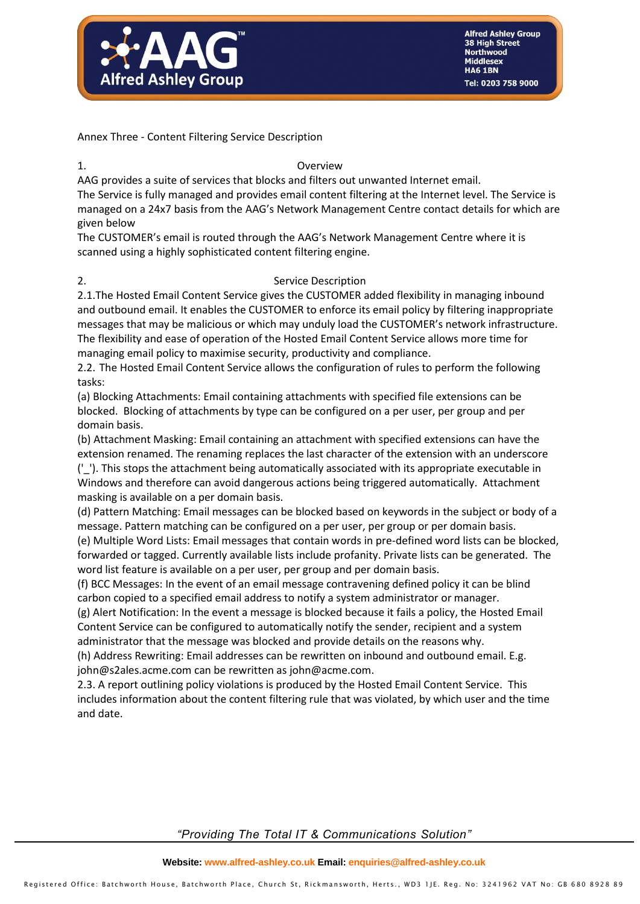

Annex Three - Content Filtering Service Description

### 1. Overview

AAG provides a suite of services that blocks and filters out unwanted Internet email.

The Service is fully managed and provides email content filtering at the Internet level. The Service is managed on a 24x7 basis from the AAG's Network Management Centre contact details for which are given below

The CUSTOMER's email is routed through the AAG's Network Management Centre where it is scanned using a highly sophisticated content filtering engine.

### 2. Service Description

2.1.The Hosted Email Content Service gives the CUSTOMER added flexibility in managing inbound and outbound email. It enables the CUSTOMER to enforce its email policy by filtering inappropriate messages that may be malicious or which may unduly load the CUSTOMER's network infrastructure. The flexibility and ease of operation of the Hosted Email Content Service allows more time for managing email policy to maximise security, productivity and compliance.

2.2. The Hosted Email Content Service allows the configuration of rules to perform the following tasks:

(a) Blocking Attachments: Email containing attachments with specified file extensions can be blocked. Blocking of attachments by type can be configured on a per user, per group and per domain basis.

(b) Attachment Masking: Email containing an attachment with specified extensions can have the extension renamed. The renaming replaces the last character of the extension with an underscore ('\_'). This stops the attachment being automatically associated with its appropriate executable in Windows and therefore can avoid dangerous actions being triggered automatically. Attachment masking is available on a per domain basis.

(d) Pattern Matching: Email messages can be blocked based on keywords in the subject or body of a message. Pattern matching can be configured on a per user, per group or per domain basis.

(e) Multiple Word Lists: Email messages that contain words in pre-defined word lists can be blocked, forwarded or tagged. Currently available lists include profanity. Private lists can be generated. The word list feature is available on a per user, per group and per domain basis.

(f) BCC Messages: In the event of an email message contravening defined policy it can be blind carbon copied to a specified email address to notify a system administrator or manager.

(g) Alert Notification: In the event a message is blocked because it fails a policy, the Hosted Email Content Service can be configured to automatically notify the sender, recipient and a system administrator that the message was blocked and provide details on the reasons why.

(h) Address Rewriting: Email addresses can be rewritten on inbound and outbound email. E.g. john@s2ales.acme.com can be rewritten as john@acme.com.

2.3. A report outlining policy violations is produced by the Hosted Email Content Service. This includes information about the content filtering rule that was violated, by which user and the time and date.